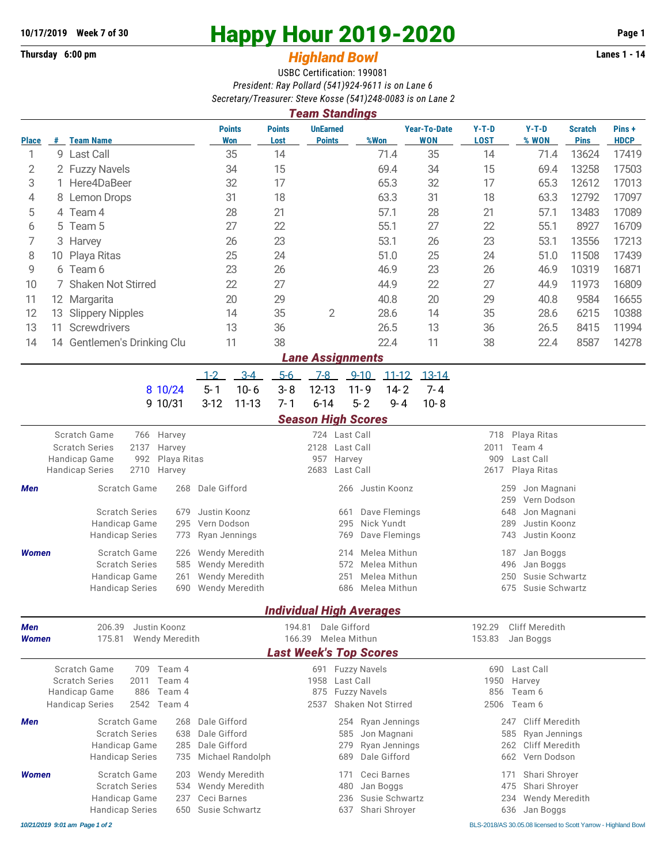## **10/17/2019 Week 7 of 30 Happy Hour 2019-2020 Page 1**

**Thursday 6:00 pm** *Highland Bowl* **Lanes 1 - 14**

USBC Certification: 199081 *President: Ray Pollard (541)924-9611 is on Lane 6 Secretary/Treasurer: Steve Kosse (541)248-0083 is on Lane 2*

| 3861818197118830181. 31878 NOSS8 (341)240-0003 IS OII LAIIB 2<br><b>Team Standings</b> |                            |                                                                                |    |                       |                    |                                    |                       |                                  |          |                  |                                   |                           |                                    |                               |                       |  |  |  |
|----------------------------------------------------------------------------------------|----------------------------|--------------------------------------------------------------------------------|----|-----------------------|--------------------|------------------------------------|-----------------------|----------------------------------|----------|------------------|-----------------------------------|---------------------------|------------------------------------|-------------------------------|-----------------------|--|--|--|
| <b>Place</b>                                                                           |                            | # Team Name                                                                    |    |                       |                    | <b>Points</b><br><b>Won</b>        | <b>Points</b><br>Lost | <b>UnEarned</b><br><b>Points</b> |          | %Won             | <b>Year-To-Date</b><br><b>WON</b> | $Y-T-D$<br><b>LOST</b>    | $Y-T-D$<br>% WON                   | <b>Scratch</b><br><b>Pins</b> | Pins +<br><b>HDCP</b> |  |  |  |
| 1                                                                                      |                            | 9 Last Call                                                                    |    |                       |                    | 35                                 | 14                    |                                  |          | 71.4             | 35                                | 14                        | 71.4                               | 13624                         | 17419                 |  |  |  |
| 2                                                                                      |                            | 2 Fuzzy Navels                                                                 |    |                       |                    | 34                                 | 15                    |                                  |          | 69.4             | 34                                | 15                        | 69.4                               | 13258                         | 17503                 |  |  |  |
| 3                                                                                      |                            | 1 Here4DaBeer                                                                  |    |                       |                    | 32                                 | 17                    |                                  |          | 65.3             | 32                                | 17                        | 65.3                               | 12612                         | 17013                 |  |  |  |
| 4                                                                                      | 8                          | Lemon Drops                                                                    |    |                       |                    | 31                                 | 18                    |                                  |          | 63.3             | 31                                | 18                        | 63.3                               | 12792                         | 17097                 |  |  |  |
| 5                                                                                      |                            | 4 Team 4                                                                       |    |                       |                    | 28                                 | 21                    |                                  |          | 57.1             | 28                                | 21                        | 57.1                               | 13483                         | 17089                 |  |  |  |
| 6                                                                                      |                            | 5 Team 5                                                                       |    |                       |                    | 27                                 | 22                    |                                  |          | 55.1             | 27                                | 22                        | 55.1                               | 8927                          | 16709                 |  |  |  |
| 7                                                                                      |                            | 3 Harvey                                                                       |    |                       | 26                 | 23                                 |                       |                                  | 53.1     | 26               | 23                                | 53.1                      | 13556                              | 17213                         |                       |  |  |  |
| 8                                                                                      | 10                         | Playa Ritas                                                                    |    |                       |                    | 25                                 |                       | 24                               |          | 51.0             | 25                                | 24                        | 51.0                               | 11508                         | 17439                 |  |  |  |
| 9                                                                                      | 6                          | Team 6                                                                         |    |                       |                    | 23                                 |                       | 26                               |          | 46.9             | 23                                | 26                        | 46.9                               | 10319                         | 16871                 |  |  |  |
| 10                                                                                     |                            | <b>Shaken Not Stirred</b>                                                      | 22 |                       | 27                 |                                    |                       | 44.9                             | 22       | 27               | 44.9                              | 11973                     | 16809                              |                               |                       |  |  |  |
| 11                                                                                     |                            | 12 Margarita                                                                   |    |                       | 20                 |                                    | 29                    |                                  |          | 40.8             | 20                                | 29                        | 40.8                               | 9584                          | 16655                 |  |  |  |
| 12                                                                                     | 13                         | <b>Slippery Nipples</b>                                                        |    |                       | 14                 |                                    | 35                    | $\overline{2}$                   |          | 28.6             | 14                                | 35                        | 28.6                               | 6215                          | 10388                 |  |  |  |
| 13                                                                                     | 11                         | Screwdrivers                                                                   |    |                       | 13                 |                                    | 36                    |                                  |          | 26.5             | 13                                | 36                        | 26.5                               | 8415                          | 11994                 |  |  |  |
| 14                                                                                     |                            | 14 Gentlemen's Drinking Clu                                                    |    |                       |                    | 11                                 | 38                    |                                  |          | 22.4             | 11                                | 38                        | 22.4                               | 8587                          | 14278                 |  |  |  |
|                                                                                        |                            |                                                                                |    |                       |                    |                                    |                       | <b>Lane Assignments</b>          |          |                  |                                   |                           |                                    |                               |                       |  |  |  |
|                                                                                        |                            |                                                                                |    |                       | $1 - 2$            | $3 - 4$                            | $5-6$                 | $7-8$                            | $9 - 10$ | $11 - 12$        | $13-14$                           |                           |                                    |                               |                       |  |  |  |
|                                                                                        |                            |                                                                                |    | 8 10/24               | $5 - 1$            | $10 - 6$                           | $3 - 8$               | $12 - 13$                        | $11 - 9$ | $14 - 2$         | $7 - 4$                           |                           |                                    |                               |                       |  |  |  |
|                                                                                        |                            |                                                                                |    | 9 10/31               | $3-12$             | $11 - 13$                          | $7 - 1$               | $6 - 14$                         | $5 - 2$  | 9-4              | $10 - 8$                          |                           |                                    |                               |                       |  |  |  |
|                                                                                        |                            |                                                                                |    |                       |                    |                                    |                       | <b>Season High Scores</b>        |          |                  |                                   |                           |                                    |                               |                       |  |  |  |
|                                                                                        | Scratch Game<br>766 Harvey |                                                                                |    |                       |                    | 724 Last Call                      |                       |                                  |          |                  |                                   |                           | Playa Ritas<br>718                 |                               |                       |  |  |  |
|                                                                                        |                            | <b>Scratch Series</b><br>2137<br>Harvey<br>Handicap Game<br>992<br>Playa Ritas |    |                       |                    |                                    |                       | 2128 Last Call<br>957<br>Harvey  |          |                  |                                   |                           | 2011<br>Team 4<br>909<br>Last Call |                               |                       |  |  |  |
|                                                                                        |                            | <b>Handicap Series</b><br>2710<br>Harvey                                       |    |                       |                    |                                    | 2683                  | Last Call                        |          |                  | 2617                              | Playa Ritas               |                                    |                               |                       |  |  |  |
| Men                                                                                    |                            | Scratch Game<br>268                                                            |    |                       |                    | Dale Gifford                       |                       | Justin Koonz<br>266              |          |                  |                                   | Jon Magnani<br>259<br>259 |                                    |                               |                       |  |  |  |
|                                                                                        |                            | <b>Scratch Series</b>                                                          |    | 679                   | Justin Koonz       |                                    |                       |                                  | 661      | Dave Flemings    |                                   |                           | Vern Dodson<br>648<br>Jon Magnani  |                               |                       |  |  |  |
|                                                                                        |                            | Handicap Game<br>295                                                           |    |                       | Vern Dodson        |                                    |                       | Nick Yundt<br>295                |          |                  |                                   |                           | 289<br>Justin Koonz                |                               |                       |  |  |  |
|                                                                                        |                            | <b>Handicap Series</b><br>773                                                  |    |                       | Ryan Jennings      |                                    |                       | Dave Flemings<br>769             |          |                  |                                   |                           | Justin Koonz<br>743                |                               |                       |  |  |  |
| <b>Women</b>                                                                           |                            | Scratch Game                                                                   |    | 226                   |                    | <b>Wendy Meredith</b>              |                       |                                  | 214      | Melea Mithun     |                                   |                           | 187<br>Jan Boggs                   |                               |                       |  |  |  |
|                                                                                        |                            | <b>Scratch Series</b>                                                          |    | 585                   |                    | <b>Wendy Meredith</b>              |                       |                                  | 572      | Melea Mithun     |                                   |                           | 496<br>Jan Boggs                   |                               |                       |  |  |  |
|                                                                                        |                            | Handicap Game                                                                  |    | 261                   |                    | <b>Wendy Meredith</b>              |                       |                                  | 251      | Melea Mithun     |                                   |                           | 250<br>Susie Schwartz              |                               |                       |  |  |  |
|                                                                                        |                            | Handicap Series                                                                |    |                       | 690 Wendy Meredith |                                    |                       |                                  |          | 686 Melea Mithun |                                   |                           | 675 Susie Schwartz                 |                               |                       |  |  |  |
|                                                                                        |                            |                                                                                |    |                       |                    |                                    |                       | <b>Individual High Averages</b>  |          |                  |                                   |                           |                                    |                               |                       |  |  |  |
| Men                                                                                    |                            | 206.39                                                                         |    |                       |                    | Dale Gifford<br>194.81             |                       |                                  |          |                  | Cliff Meredith<br>192.29          |                           |                                    |                               |                       |  |  |  |
| Women                                                                                  |                            | 175.81                                                                         |    | <b>Wendy Meredith</b> |                    |                                    |                       | 166.39 Melea Mithun              |          |                  |                                   | 153.83                    | Jan Boggs                          |                               |                       |  |  |  |
|                                                                                        |                            |                                                                                |    |                       |                    |                                    |                       | <b>Last Week's Top Scores</b>    |          |                  |                                   |                           |                                    |                               |                       |  |  |  |
|                                                                                        |                            | Scratch Game<br>709 Team 4<br><b>Scratch Series</b><br>2011<br>Team 4          |    |                       |                    |                                    |                       | 691 Fuzzy Navels                 |          |                  |                                   | 1950                      | 690 Last Call<br>Harvey            |                               |                       |  |  |  |
|                                                                                        |                            | Handicap Game                                                                  |    |                       |                    | 1958 Last Call<br>875 Fuzzy Navels |                       |                                  |          | Team 6<br>856    |                                   |                           |                                    |                               |                       |  |  |  |
|                                                                                        |                            | <b>Handicap Series</b>                                                         |    | 2542 Team 4           |                    |                                    |                       | 2537 Shaken Not Stirred          |          |                  |                                   |                           | 2506 Team 6                        |                               |                       |  |  |  |

**Men** Scratch Game 268 Dale Gifford 254 Ryan Jennings 247 Cliff Meredith Scratch Series 638 Dale Gifford 585 Jon Magnani 585 Ryan Jennings Handicap Game 285 Dale Gifford 279 Ryan Jennings 262 Cliff Meredith Handicap Series 735 Michael Randolph 689 Dale Gifford 662 Vern Dodson **Women** Scratch Game 203 Wendy Meredith 171 Ceci Barnes 171 Shari Shroyer Scratch Series 534 Wendy Meredith 480 Jan Boggs 475 Shari Shroyer Handicap Game 237 Ceci Barnes 236 Susie Schwartz 234 Wendy Meredith Handicap Series 650 Susie Schwartz 637 Shari Shroyer 636 Jan Boggs

*10/21/2019 9:01 am Page 1 of 2* BLS-2018/AS 30.05.08 licensed to Scott Yarrow - Highland Bowl